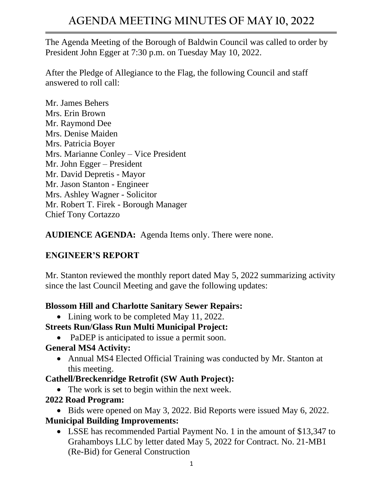The Agenda Meeting of the Borough of Baldwin Council was called to order by President John Egger at 7:30 p.m. on Tuesday May 10, 2022.

After the Pledge of Allegiance to the Flag, the following Council and staff answered to roll call:

Mr. James Behers Mrs. Erin Brown Mr. Raymond Dee Mrs. Denise Maiden Mrs. Patricia Boyer Mrs. Marianne Conley – Vice President Mr. John Egger – President Mr. David Depretis - Mayor Mr. Jason Stanton - Engineer Mrs. Ashley Wagner - Solicitor Mr. Robert T. Firek - Borough Manager Chief Tony Cortazzo

**AUDIENCE AGENDA:** Agenda Items only. There were none.

### **ENGINEER'S REPORT**

Mr. Stanton reviewed the monthly report dated May 5, 2022 summarizing activity since the last Council Meeting and gave the following updates:

#### **Blossom Hill and Charlotte Sanitary Sewer Repairs:**

• Lining work to be completed May 11, 2022.

### **Streets Run/Glass Run Multi Municipal Project:**

• PaDEP is anticipated to issue a permit soon.

#### **General MS4 Activity:**

• Annual MS4 Elected Official Training was conducted by Mr. Stanton at this meeting.

### **Cathell/Breckenridge Retrofit (SW Auth Project):**

• The work is set to begin within the next week.

### **2022 Road Program:**

• Bids were opened on May 3, 2022. Bid Reports were issued May 6, 2022. **Municipal Building Improvements:**

• LSSE has recommended Partial Payment No. 1 in the amount of \$13,347 to Grahamboys LLC by letter dated May 5, 2022 for Contract. No. 21-MB1 (Re-Bid) for General Construction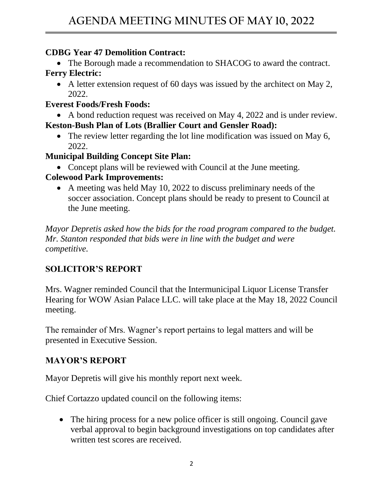### **CDBG Year 47 Demolition Contract:**

• The Borough made a recommendation to SHACOG to award the contract. **Ferry Electric:**

• A letter extension request of 60 days was issued by the architect on May 2, 2022.

#### **Everest Foods/Fresh Foods:**

• A bond reduction request was received on May 4, 2022 and is under review. **Keston-Bush Plan of Lots (Brallier Court and Gensler Road):**

• The review letter regarding the lot line modification was issued on May 6, 2022.

#### **Municipal Building Concept Site Plan:**

• Concept plans will be reviewed with Council at the June meeting.

#### **Colewood Park Improvements:**

• A meeting was held May 10, 2022 to discuss preliminary needs of the soccer association. Concept plans should be ready to present to Council at the June meeting.

*Mayor Depretis asked how the bids for the road program compared to the budget. Mr. Stanton responded that bids were in line with the budget and were competitive.* 

# **SOLICITOR'S REPORT**

Mrs. Wagner reminded Council that the Intermunicipal Liquor License Transfer Hearing for WOW Asian Palace LLC. will take place at the May 18, 2022 Council meeting.

The remainder of Mrs. Wagner's report pertains to legal matters and will be presented in Executive Session.

### **MAYOR'S REPORT**

Mayor Depretis will give his monthly report next week.

Chief Cortazzo updated council on the following items:

• The hiring process for a new police officer is still ongoing. Council gave verbal approval to begin background investigations on top candidates after written test scores are received.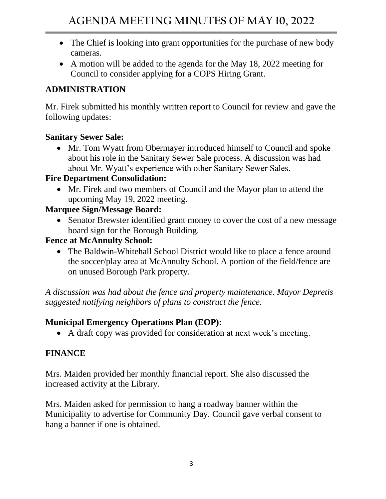- The Chief is looking into grant opportunities for the purchase of new body cameras.
- A motion will be added to the agenda for the May 18, 2022 meeting for Council to consider applying for a COPS Hiring Grant.

# **ADMINISTRATION**

Mr. Firek submitted his monthly written report to Council for review and gave the following updates:

### **Sanitary Sewer Sale:**

• Mr. Tom Wyatt from Obermayer introduced himself to Council and spoke about his role in the Sanitary Sewer Sale process. A discussion was had about Mr. Wyatt's experience with other Sanitary Sewer Sales.

#### **Fire Department Consolidation:**

• Mr. Firek and two members of Council and the Mayor plan to attend the upcoming May 19, 2022 meeting.

### **Marquee Sign/Message Board:**

• Senator Brewster identified grant money to cover the cost of a new message board sign for the Borough Building.

### **Fence at McAnnulty School:**

• The Baldwin-Whitehall School District would like to place a fence around the soccer/play area at McAnnulty School. A portion of the field/fence are on unused Borough Park property.

*A discussion was had about the fence and property maintenance. Mayor Depretis suggested notifying neighbors of plans to construct the fence.*

### **Municipal Emergency Operations Plan (EOP):**

• A draft copy was provided for consideration at next week's meeting.

# **FINANCE**

Mrs. Maiden provided her monthly financial report. She also discussed the increased activity at the Library.

Mrs. Maiden asked for permission to hang a roadway banner within the Municipality to advertise for Community Day. Council gave verbal consent to hang a banner if one is obtained.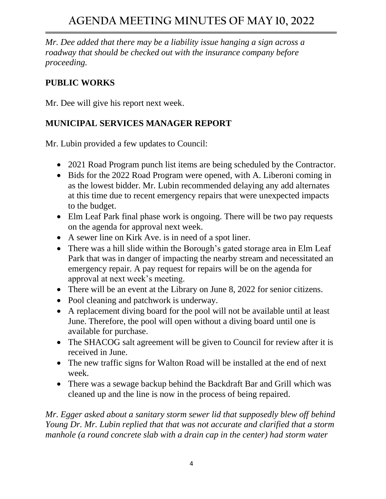*Mr. Dee added that there may be a liability issue hanging a sign across a roadway that should be checked out with the insurance company before proceeding.* 

# **PUBLIC WORKS**

Mr. Dee will give his report next week.

## **MUNICIPAL SERVICES MANAGER REPORT**

Mr. Lubin provided a few updates to Council:

- 2021 Road Program punch list items are being scheduled by the Contractor.
- Bids for the 2022 Road Program were opened, with A. Liberoni coming in as the lowest bidder. Mr. Lubin recommended delaying any add alternates at this time due to recent emergency repairs that were unexpected impacts to the budget.
- Elm Leaf Park final phase work is ongoing. There will be two pay requests on the agenda for approval next week.
- A sewer line on Kirk Ave. is in need of a spot liner.
- There was a hill slide within the Borough's gated storage area in Elm Leaf Park that was in danger of impacting the nearby stream and necessitated an emergency repair. A pay request for repairs will be on the agenda for approval at next week's meeting.
- There will be an event at the Library on June 8, 2022 for senior citizens.
- Pool cleaning and patchwork is underway.
- A replacement diving board for the pool will not be available until at least June. Therefore, the pool will open without a diving board until one is available for purchase.
- The SHACOG salt agreement will be given to Council for review after it is received in June.
- The new traffic signs for Walton Road will be installed at the end of next week.
- There was a sewage backup behind the Backdraft Bar and Grill which was cleaned up and the line is now in the process of being repaired.

*Mr. Egger asked about a sanitary storm sewer lid that supposedly blew off behind Young Dr. Mr. Lubin replied that that was not accurate and clarified that a storm manhole (a round concrete slab with a drain cap in the center) had storm water*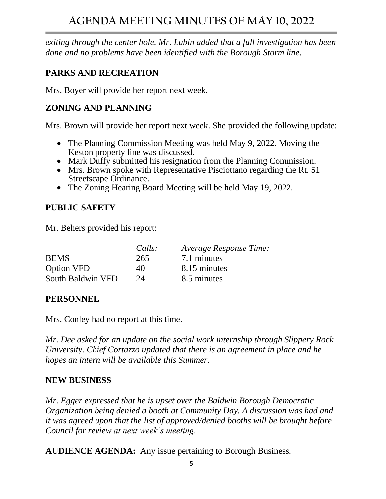*exiting through the center hole. Mr. Lubin added that a full investigation has been done and no problems have been identified with the Borough Storm line.* 

## **PARKS AND RECREATION**

Mrs. Boyer will provide her report next week.

## **ZONING AND PLANNING**

Mrs. Brown will provide her report next week. She provided the following update:

- The Planning Commission Meeting was held May 9, 2022. Moving the Keston property line was discussed.
- Mark Duffy submitted his resignation from the Planning Commission.
- Mrs. Brown spoke with Representative Pisciottano regarding the Rt. 51 Streetscape Ordinance.
- The Zoning Hearing Board Meeting will be held May 19, 2022.

## **PUBLIC SAFETY**

Mr. Behers provided his report:

|                   | Calls: | Average Response Time: |
|-------------------|--------|------------------------|
| <b>BEMS</b>       | 265    | 7.1 minutes            |
| <b>Option VFD</b> | 40     | 8.15 minutes           |
| South Baldwin VFD | $2\pi$ | 8.5 minutes            |

### **PERSONNEL**

Mrs. Conley had no report at this time.

*Mr. Dee asked for an update on the social work internship through Slippery Rock University. Chief Cortazzo updated that there is an agreement in place and he hopes an intern will be available this Summer.*

### **NEW BUSINESS**

*Mr. Egger expressed that he is upset over the Baldwin Borough Democratic Organization being denied a booth at Community Day. A discussion was had and it was agreed upon that the list of approved/denied booths will be brought before Council for review at next week's meeting.* 

**AUDIENCE AGENDA:** Any issue pertaining to Borough Business.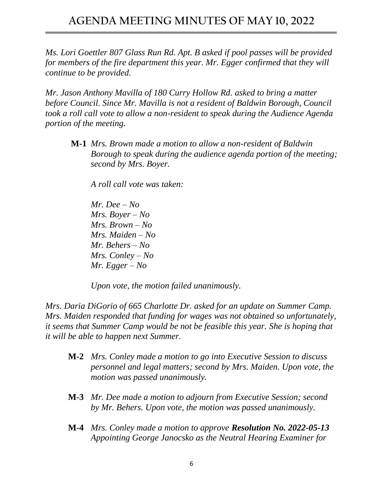*Ms. Lori Goettler 807 Glass Run Rd. Apt. B asked if pool passes will be provided for members of the fire department this year. Mr. Egger confirmed that they will continue to be provided.*

*Mr. Jason Anthony Mavilla of 180 Curry Hollow Rd. asked to bring a matter before Council. Since Mr. Mavilla is not a resident of Baldwin Borough, Council took a roll call vote to allow a non-resident to speak during the Audience Agenda portion of the meeting.* 

**M-1** *Mrs. Brown made a motion to allow a non-resident of Baldwin Borough to speak during the audience agenda portion of the meeting; second by Mrs. Boyer.* 

*A roll call vote was taken:*

*Mr. Dee – No Mrs. Boyer – No Mrs. Brown – No Mrs. Maiden – No Mr. Behers – No Mrs. Conley – No Mr. Egger – No*

*Upon vote, the motion failed unanimously.* 

*Mrs. Daria DiGorio of 665 Charlotte Dr. asked for an update on Summer Camp. Mrs. Maiden responded that funding for wages was not obtained so unfortunately, it seems that Summer Camp would be not be feasible this year. She is hoping that it will be able to happen next Summer.*

- **M-2** *Mrs. Conley made a motion to go into Executive Session to discuss personnel and legal matters; second by Mrs. Maiden. Upon vote, the motion was passed unanimously.*
- **M-3** *Mr. Dee made a motion to adjourn from Executive Session; second by Mr. Behers. Upon vote, the motion was passed unanimously.*
- **M-4** *Mrs. Conley made a motion to approve Resolution No. 2022-05-13 Appointing George Janocsko as the Neutral Hearing Examiner for*